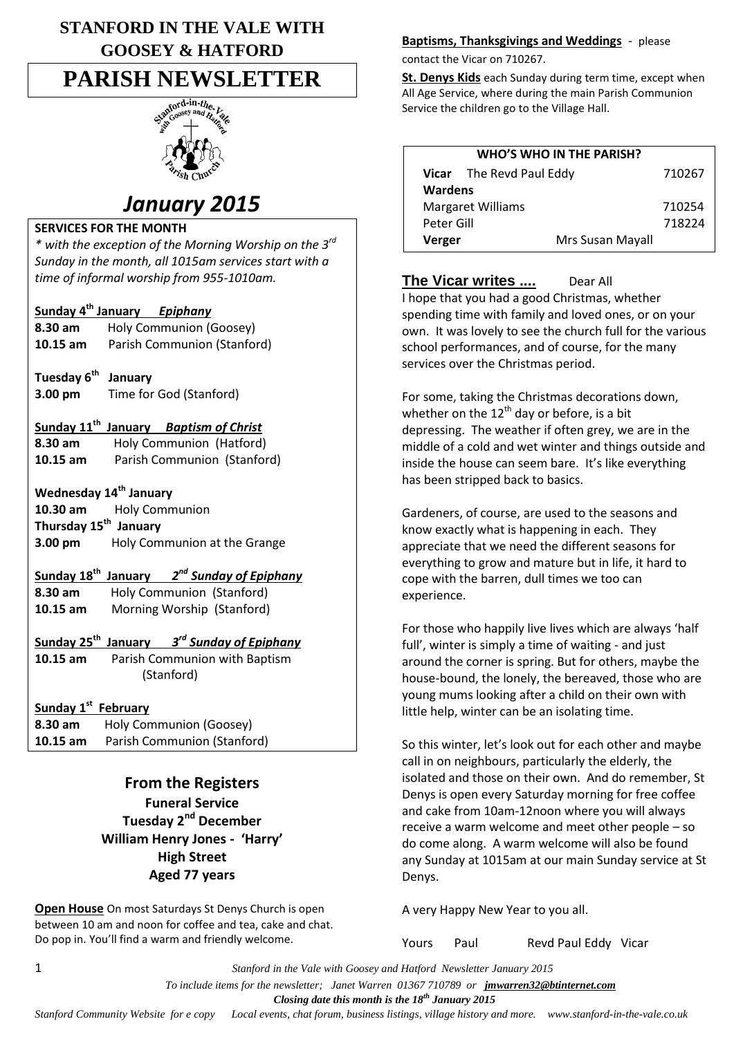# **STANFORD IN THE VALE WITH GOOSEY & HATFORD**

# **PARISH NEWSLETTER**



# *January 2015*

#### **SERVICES FOR THE MONTH**

*\* with the exception of the Morning Worship on the 3rd Sunday in the month, all 1015am services start with a time of informal worship from 955-1010am.*

#### **Sunday 4 th January** *Epiphany*

- **8.30 am** Holy Communion (Goosey) **10.15 am** Parish Communion (Stanford)
- **Tuesday 6th January 3.00 pm** Time for God (Stanford)

## **Sunday 11th January** *Baptism of Christ*

**8.30 am** Holy Communion (Hatford) **10.15 am** Parish Communion (Stanford)

# **Wednesday 14th January**

**10.30 am** Holy Communion **Thursday 15th January 3.00 pm** Holy Communion at the Grange

# **Sunday 18th January** *2 nd Sunday of Epiphany*

**8.30 am** Holy Communion (Stanford) **10.15 am** Morning Worship (Stanford)

#### **Sunday 25th January** *3 rd Sunday of Epiphany*

**10.15 am** Parish Communion with Baptism (Stanford)

#### **Sunday 1st February**

**8.30 am** Holy Communion (Goosey) **10.15 am** Parish Communion (Stanford)

> **From the Registers Funeral Service Tuesday 2nd December William Henry Jones - 'Harry' High Street Aged 77 years**

**Open House** On most Saturdays St Denys Church is open between 10 am and noon for coffee and tea, cake and chat. Do pop in. You'll find a warm and friendly welcome.

#### **Baptisms, Thanksgivings and Weddings** - please

contact the Vicar on 710267.

**St. Denys Kids** each Sunday during term time, except when All Age Service, where during the main Parish Communion Service the children go to the Village Hall.

| <b>WHO'S WHO IN THE PARISH?</b> |            |                                 |                  |        |
|---------------------------------|------------|---------------------------------|------------------|--------|
|                                 |            | <b>Vicar</b> The Revd Paul Eddy |                  | 710267 |
|                                 | Wardens    |                                 |                  |        |
| <b>Margaret Williams</b>        |            |                                 |                  | 710254 |
|                                 | Peter Gill |                                 |                  | 718224 |
|                                 | Verger     |                                 | Mrs Susan Mayall |        |
|                                 |            |                                 |                  |        |

**The Vicar writes ....** Dear All I hope that you had a good Christmas, whether spending time with family and loved ones, or on your own. It was lovely to see the church full for the various school performances, and of course, for the many services over the Christmas period.

For some, taking the Christmas decorations down, whether on the  $12<sup>th</sup>$  day or before, is a bit depressing. The weather if often grey, we are in the middle of a cold and wet winter and things outside and inside the house can seem bare. It's like everything has been stripped back to basics.

Gardeners, of course, are used to the seasons and know exactly what is happening in each. They appreciate that we need the different seasons for everything to grow and mature but in life, it hard to cope with the barren, dull times we too can experience.

For those who happily live lives which are always 'half full', winter is simply a time of waiting - and just around the corner is spring. But for others, maybe the house-bound, the lonely, the bereaved, those who are young mums looking after a child on their own with little help, winter can be an isolating time.

So this winter, let's look out for each other and maybe call in on neighbours, particularly the elderly, the isolated and those on their own. And do remember, St Denys is open every Saturday morning for free coffee and cake from 10am-12noon where you will always receive a warm welcome and meet other people – so do come along. A warm welcome will also be found any Sunday at 1015am at our main Sunday service at St Denys.

A very Happy New Year to you all.

Yours Paul Revd Paul Eddy Vicar

1 *Stanford in the Vale with Goosey and Hatford Newsletter January 2015*

 *To include items for the newsletter; Janet Warren 01367 710789 or jmwarren32@btinternet.com*

 *Closing date this month is the 18th January 2015*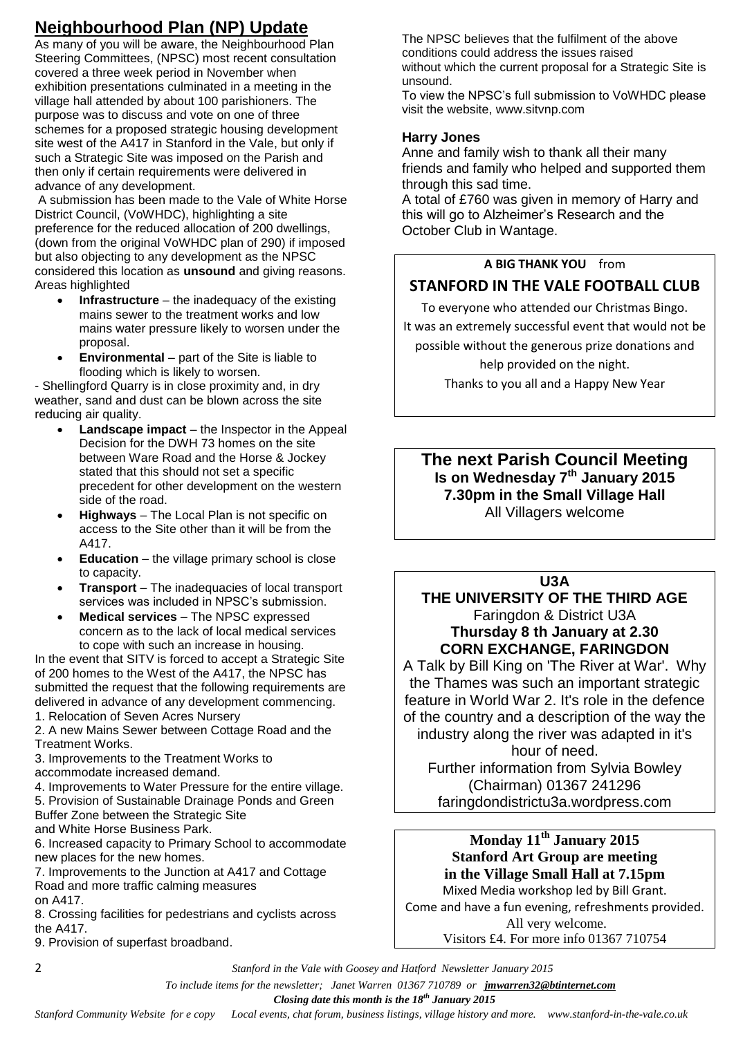# **Neighbourhood Plan (NP) Update**

As many of you will be aware, the Neighbourhood Plan Steering Committees, (NPSC) most recent consultation covered a three week period in November when exhibition presentations culminated in a meeting in the village hall attended by about 100 parishioners. The purpose was to discuss and vote on one of three schemes for a proposed strategic housing development site west of the A417 in Stanford in the Vale, but only if such a Strategic Site was imposed on the Parish and then only if certain requirements were delivered in advance of any development.

A submission has been made to the Vale of White Horse District Council, (VoWHDC), highlighting a site preference for the reduced allocation of 200 dwellings, (down from the original VoWHDC plan of 290) if imposed but also objecting to any development as the NPSC considered this location as **unsound** and giving reasons. Areas highlighted

- **Infrastructure** the inadequacy of the existing mains sewer to the treatment works and low mains water pressure likely to worsen under the proposal.
- **Environmental** part of the Site is liable to flooding which is likely to worsen.

- Shellingford Quarry is in close proximity and, in dry weather, sand and dust can be blown across the site reducing air quality.

- **Landscape impact** the Inspector in the Appeal Decision for the DWH 73 homes on the site between Ware Road and the Horse & Jockey stated that this should not set a specific precedent for other development on the western side of the road.
- **Highways** The Local Plan is not specific on access to the Site other than it will be from the A417.
- **Education** the village primary school is close to capacity.
- **Transport** The inadequacies of local transport services was included in NPSC's submission.
- **Medical services** The NPSC expressed concern as to the lack of local medical services to cope with such an increase in housing.

In the event that SITV is forced to accept a Strategic Site of 200 homes to the West of the A417, the NPSC has submitted the request that the following requirements are delivered in advance of any development commencing.

1. Relocation of Seven Acres Nursery

2. A new Mains Sewer between Cottage Road and the Treatment Works.

3. Improvements to the Treatment Works to accommodate increased demand.

4. Improvements to Water Pressure for the entire village.

5. Provision of Sustainable Drainage Ponds and Green Buffer Zone between the Strategic Site

and White Horse Business Park.

6. Increased capacity to Primary School to accommodate new places for the new homes.

7. Improvements to the Junction at A417 and Cottage Road and more traffic calming measures on A417.

8. Crossing facilities for pedestrians and cyclists across the A417.

9. Provision of superfast broadband.

The NPSC believes that the fulfilment of the above conditions could address the issues raised without which the current proposal for a Strategic Site is unsound.

To view the NPSC's full submission to VoWHDC please visit the website, www.sitvnp.com

#### **Harry Jones**

Anne and family wish to thank all their many friends and family who helped and supported them through this sad time.

A total of £760 was given in memory of Harry and this will go to Alzheimer's Research and the October Club in Wantage.

## **A BIG THANK YOU** from

# **STANFORD IN THE VALE FOOTBALL CLUB**

To everyone who attended our Christmas Bingo.

It was an extremely successful event that would not be

possible without the generous prize donations and

help provided on the night. Thanks to you all and a Happy New Year

**The next Parish Council Meeting Is on Wednesday 7th January 2015 7.30pm in the Small Village Hall** All Villagers welcome

**U3A**

**THE UNIVERSITY OF THE THIRD AGE** Faringdon & District U3A **Thursday 8 th January at 2.30 CORN EXCHANGE, FARINGDON**

A Talk by Bill King on 'The River at War'. Why the Thames was such an important strategic feature in World War 2. It's role in the defence of the country and a description of the way the industry along the river was adapted in it's hour of need. Further information from Sylvia Bowley (Chairman) 01367 241296 faringdondistrictu3a.wordpress.com

**Monday 11th January 2015 Stanford Art Group are meeting in the Village Small Hall at 7.15pm** Mixed Media workshop led by Bill Grant. Come and have a fun evening, refreshments provided. All very welcome.

Visitors £4. For more info 01367 710754

2 *Stanford in the Vale with Goosey and Hatford Newsletter January 2015*

 *To include items for the newsletter; Janet Warren 01367 710789 or jmwarren32@btinternet.com*

 *Closing date this month is the 18th January 2015*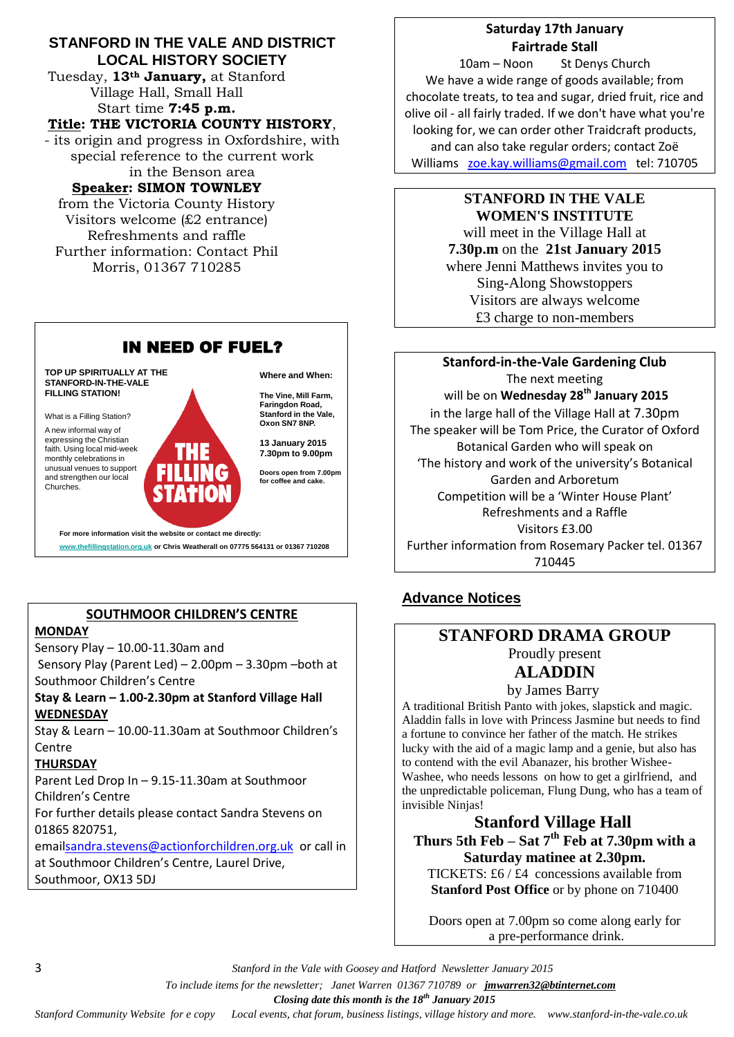#### **STANFORD IN THE VALE AND DISTRICT LOCAL HISTORY SOCIETY**

Tuesday, **13th January,** at Stanford Village Hall, Small Hall Start time **7:45 p.m.**

#### **Title: THE VICTORIA COUNTY HISTORY**,

- its origin and progress in Oxfordshire, with special reference to the current work in the Benson area

#### **Speaker: SIMON TOWNLEY**

from the Victoria County History Visitors welcome (£2 entrance) Refreshments and raffle Further information: Contact Phil Morris, 01367 710285



**www.thefillingstation.org.uk or Chris Weatherall on 07775 564131 or 01367 710208** 

#### **SOUTHMOOR CHILDREN'S CENTRE**

#### **MONDAY**

Sensory Play – 10.00-11.30am and Sensory Play (Parent Led) – 2.00pm – 3.30pm –both at Southmoor Children's Centre

#### **Stay & Learn – 1.00-2.30pm at Stanford Village Hall WEDNESDAY**

Stay & Learn – 10.00-11.30am at Southmoor Children's **Centre** 

#### **THURSDAY**

Parent Led Drop In – 9.15-11.30am at Southmoor Children's Centre

For further details please contact Sandra Stevens on 01865 820751,

emai[lsandra.stevens@actionforchildren.org.uk](mailto:sandra.stevens@actionforchildren.org.uk) or call in at Southmoor Children's Centre, Laurel Drive, Southmoor, OX13 5DJ

## **Saturday 17th January Fairtrade Stall**

10am – Noon St Denys Church We have a wide range of goods available; from chocolate treats, to tea and sugar, dried fruit, rice and olive oil - all fairly traded. If we don't have what you're looking for, we can order other Traidcraft products, and can also take regular orders; contact Zoë Williams [zoe.kay.williams@gmail.com](mailto:zoe.kay.williams@gmail.com) tel: 710705

## **STANFORD IN THE VALE WOMEN'S INSTITUTE** will meet in the Village Hall at **7.30p.m** on the **21st January 2015** where Jenni Matthews invites you to Sing-Along Showstoppers Visitors are always welcome £3 charge to non-members

**Stanford-in-the-Vale Gardening Club** The next meeting will be on **Wednesday 28th January 2015** in the large hall of the Village Hall at 7.30pm The speaker will be Tom Price, the Curator of Oxford Botanical Garden who will speak on 'The history and work of the university's Botanical Garden and Arboretum Competition will be a 'Winter House Plant' Refreshments and a Raffle Visitors £3.00 Further information from Rosemary Packer tel. 01367 710445

# **Advance Notices**

#### **STANFORD DRAMA GROUP** Proudly present

# **ALADDIN**

by James Barry

A traditional British Panto with jokes, slapstick and magic. Aladdin falls in love with Princess Jasmine but needs to find a fortune to convince her father of the match. He strikes lucky with the aid of a magic lamp and a genie, but also has to contend with the evil Abanazer, his brother Wishee-Washee, who needs lessons on how to get a girlfriend, and the unpredictable policeman, Flung Dung, who has a team of invisible Ninjas!

# **Stanford Village Hall Thurs 5th Feb – Sat 7th Feb at 7.30pm with a Saturday matinee at 2.30pm.**

TICKETS: £6 / £4 concessions available from **Stanford Post Office** or by phone on 710400

Doors open at 7.00pm so come along early for a pre-performance drink.

3 *Stanford in the Vale with Goosey and Hatford Newsletter January 2015*

 *To include items for the newsletter; Janet Warren 01367 710789 or jmwarren32@btinternet.com*

 *Closing date this month is the 18th January 2015*